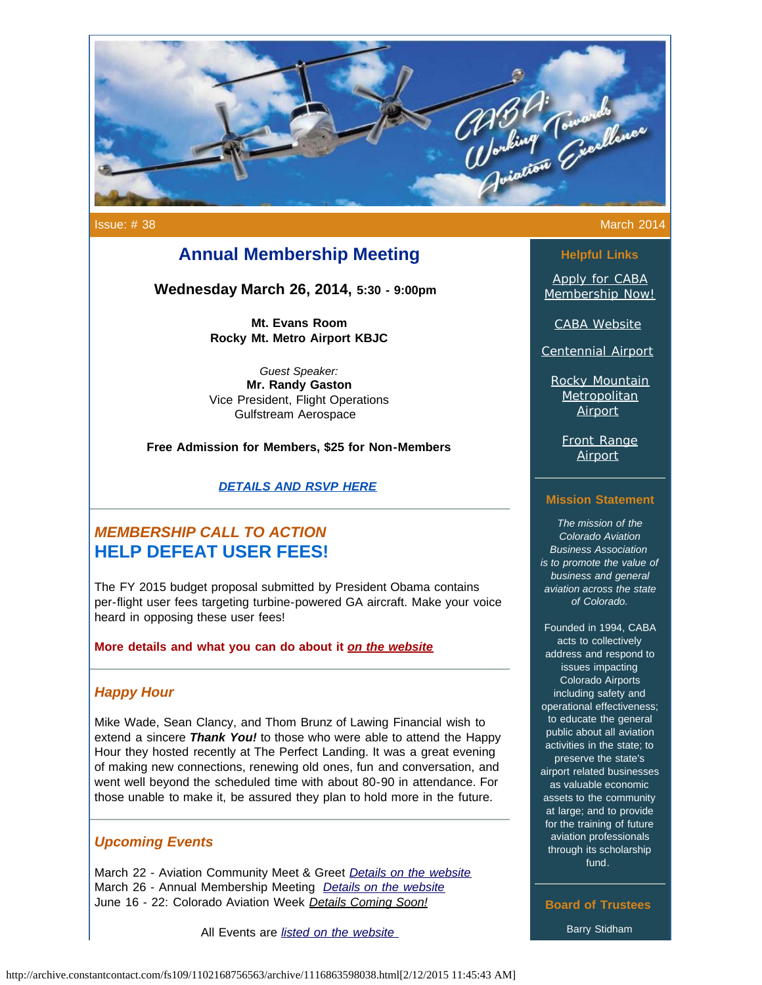

Issue: # 38 March 2014

## **Annual Membership Meeting**

**Wednesday March 26, 2014, 5:30 - 9:00pm**

**Mt. Evans Room Rocky Mt. Metro Airport KBJC**

*Guest Speaker:* **Mr. Randy Gaston** Vice President, Flight Operations Gulfstream Aerospace

**Free Admission for Members, \$25 for Non-Members**

*[DETAILS AND RSVP HERE](http://mycaba.org/events?eventId=849701&EventViewMode=EventDetails&utm_source=Newsletter+March+2014&utm_campaign=March+2014+Newsletter&utm_medium=email)*

# *MEMBERSHIP CALL TO ACTION*  **HELP DEFEAT USER FEES!**

The FY 2015 budget proposal submitted by President Obama contains per-flight user fees targeting turbine-powered GA aircraft. Make your voice heard in opposing these user fees!

**More details and what you can do about it** *[on the website](http://www.mycaba.org/call-to-action?utm_source=Newsletter+March+2014&utm_campaign=March+2014+Newsletter&utm_medium=email)*

## *Happy Hour*

Mike Wade, Sean Clancy, and Thom Brunz of Lawing Financial wish to extend a sincere *Thank You!* to those who were able to attend the Happy Hour they hosted recently at The Perfect Landing. It was a great evening of making new connections, renewing old ones, fun and conversation, and went well beyond the scheduled time with about 80-90 in attendance. For those unable to make it, be assured they plan to hold more in the future.

### *Upcoming Events*

March 22 - Aviation Community Meet & Greet *[Details on the website](http://mycaba.org/events?eventId=870020&EventViewMode=EventDetails&utm_source=Newsletter+March+2014&utm_campaign=March+2014+Newsletter&utm_medium=email)* March 26 - Annual Membership Meeting *[Details on the website](http://mycaba.org/events?eventId=849701&EventViewMode=EventDetails&utm_source=Newsletter+March+2014&utm_campaign=March+2014+Newsletter&utm_medium=email)* June 16 - 22: Colorado Aviation Week *Details Coming Soon!*

All Events are *[listed on the website](http://www.mycaba.org/events?utm_source=Newsletter+March+2014&utm_campaign=March+2014+Newsletter&utm_medium=email)* 

# **Helpful Links**

[Apply for CABA](http://www.mycaba.org/application?utm_source=Newsletter+March+2014&utm_campaign=March+2014+Newsletter&utm_medium=email) [Membership Now!](http://www.mycaba.org/application?utm_source=Newsletter+March+2014&utm_campaign=March+2014+Newsletter&utm_medium=email)

[CABA Website](http://www.mycaba.org/?utm_source=Newsletter+March+2014&utm_campaign=March+2014+Newsletter&utm_medium=email)

[Centennial Airport](http://centennialairport.com/?utm_source=Newsletter+March+2014&utm_campaign=March+2014+Newsletter&utm_medium=email)

[Rocky Mountain](http://jeffco.us/airport/?utm_source=Newsletter+March+2014&utm_campaign=March+2014+Newsletter&utm_medium=email) **[Metropolitan](http://jeffco.us/airport/?utm_source=Newsletter+March+2014&utm_campaign=March+2014+Newsletter&utm_medium=email) [Airport](http://jeffco.us/airport/?utm_source=Newsletter+March+2014&utm_campaign=March+2014+Newsletter&utm_medium=email)** 

[Front Range](http://www.ftg-airport.com/?utm_source=Newsletter+March+2014&utm_campaign=March+2014+Newsletter&utm_medium=email) [Airport](http://www.ftg-airport.com/?utm_source=Newsletter+March+2014&utm_campaign=March+2014+Newsletter&utm_medium=email)

#### **Mission Statement**

*The mission of the Colorado Aviation Business Association is to promote the value of business and general aviation across the state of Colorado.*

Founded in 1994, CABA acts to collectively address and respond to issues impacting Colorado Airports including safety and operational effectiveness; to educate the general public about all aviation activities in the state; to preserve the state's airport related businesses as valuable economic assets to the community at large; and to provide for the training of future aviation professionals through its scholarship fund.

**Board of Trustees** Barry Stidham